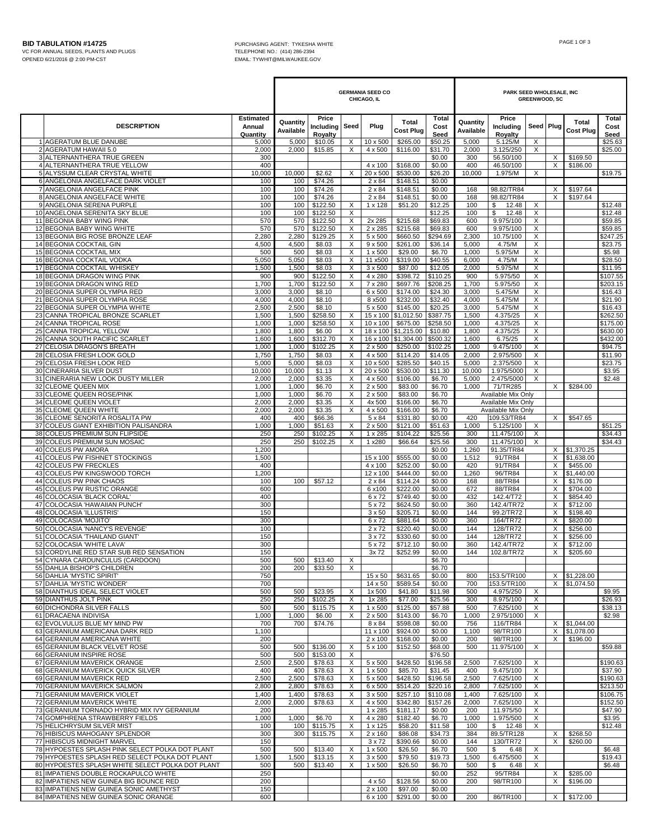|          |                                                                                                   |                                 | <b>GERMANIA SEED CO</b><br>CHICAGO, IL |                               |                              |                           |                                 |                       | PARK SEED WHOLESALE, INC<br><b>GREENWOOD, SC</b> |                                          |                                       |               |                              |                       |  |
|----------|---------------------------------------------------------------------------------------------------|---------------------------------|----------------------------------------|-------------------------------|------------------------------|---------------------------|---------------------------------|-----------------------|--------------------------------------------------|------------------------------------------|---------------------------------------|---------------|------------------------------|-----------------------|--|
|          | <b>DESCRIPTION</b>                                                                                | Estimated<br>Annual<br>Quantity | Quantity<br>Available                  | Price<br>Including<br>Royalty | Seed                         | Plug                      | Total<br><b>Cost Plug</b>       | Total<br>Cost<br>Seed | Quantity<br>Available                            | Price<br>Including<br>Royalty            | Seed Plug                             |               | Total<br><b>Cost Plug</b>    | Total<br>Cost<br>Seed |  |
|          | 1 AGERATUM BLUE DANUBE<br>2 AGERATUM HAWAII 5.0                                                   | 5,000<br>2,000                  | 5,000<br>2,000                         | \$10.05<br>\$15.85            | X<br>X                       | 10 x 500<br>4 x 500       | \$265.00<br>\$116.00            | \$50.25<br>\$31.70    | 5,000<br>2,000                                   | 5.125/M<br>3.125/250                     | X<br>X                                |               |                              | \$25.63<br>\$25.00    |  |
|          | 3 ALTERNANTHERA TRUE GREEN                                                                        | 300                             |                                        |                               |                              |                           |                                 | \$0.00                | 300                                              | 56.50/100                                |                                       | X             | \$169.50                     |                       |  |
|          | 4 ALTERNANTHERA TRUE YELLOW<br>5 ALYSSUM CLEAR CRYSTAL WHITE                                      | 400<br>10,000                   | 10,000                                 | \$2.62                        | X                            | 4 x 100<br>20 x 500       | \$168.00<br>\$530.00            | \$0.00<br>\$26.20     | 400<br>10,000                                    | 46.50/100<br>1.975/M                     | X                                     | X             | \$186.00                     | \$19.75               |  |
|          | 6 ANGELONIA ANGELFACE DARK VIOLET                                                                 | 100                             | 100                                    | \$74.26                       |                              | $2 \times 84$             | \$148.51                        | \$0.00                |                                                  |                                          |                                       |               |                              |                       |  |
|          | 7 ANGELONIA ANGELFACE PINK<br>8 ANGELONIA ANGELFACE WHITE                                         | 100<br>100                      | 100<br>100                             | \$74.26<br>\$74.26            |                              | $2 \times 84$<br>2 x 84   | \$148.51<br>\$148.51            | \$0.00<br>\$0.00      | 168<br>168                                       | 98.82/TR84<br>98.82/TR84                 |                                       | X<br>X        | \$197.64<br>\$197.64         |                       |  |
|          | 9 ANGELONIA SERENA PURPLE                                                                         | 100                             | 100                                    | \$122.50                      | Х                            | 1 x 128                   | \$51.20                         | \$12.25               | 100                                              | \$<br>12.48                              | Х                                     |               |                              | \$12.48               |  |
|          | 10 ANGELONIA SERENITA SKY BLUE<br>11 BEGONIA BABY WING PINK                                       | 100<br>570                      | 100<br>570                             | \$122.50<br>\$122.50          | X<br>X                       | 2x 285                    | \$215.68                        | \$12.25<br>\$69.83    | 100<br>600                                       | \$<br>12.48<br>9.975/100                 | X<br>X                                |               |                              | \$12.48<br>\$59.85    |  |
|          | 12 BEGONIA BABY WING WHITE                                                                        | 570                             | 570                                    | \$122.50                      | X                            | 2 x 285                   | \$215.68                        | \$69.83               | 600                                              | 9.975/100                                | X                                     |               |                              | \$59.85               |  |
|          | 13 BEGONIA BIG ROSE BRONZE LEAF<br>14 BEGONIA COCKTAIL GIN                                        | 2,280<br>4,500                  | 2,280<br>4,500                         | \$129.25<br>\$8.03            | X<br>X                       | 5 x 500<br>$9 \times 500$ | \$660.50<br>\$261.00            | \$294.69<br>\$36.14   | 2,300<br>5,000                                   | 10.75/100<br>4.75/M                      | X<br>X                                |               |                              | \$247.25<br>\$23.75   |  |
|          | 15 BEGONIA COCKTAIL MIX<br>16 BEGONIA COCKTAIL VODKA                                              | 500<br>5,050                    | 500<br>5,050                           | \$8.03                        | X<br>X                       | $1 \times 500$<br>11 x500 | \$29.00<br>\$319.00             | \$6.70<br>\$40.55     | 1,000                                            | 5.975/M<br>4.75/M                        | X                                     |               |                              | \$5.98<br>\$28.50     |  |
|          | 17 BEGONIA COCKTAIL WHISKEY                                                                       | 1,500                           | 1,500                                  | \$8.03<br>\$8.03              | X                            | 3 x 500                   | \$87.00                         | \$12.05               | 6,000<br>2,000                                   | 5.975/M                                  | Χ<br>X                                |               |                              | \$11.95               |  |
|          | 18 BEGONIA DRAGON WING PINK                                                                       | 900                             | 900                                    | \$122.50                      | X                            | 4 x 280                   | \$398.72                        | \$110.25              | 900                                              | 5.975/50                                 | X                                     |               |                              | \$107.55              |  |
|          | 19 BEGONIA DRAGON WING RED<br>20 BEGONIA SUPER OLYMPIA RED                                        | 1,700<br>3,000                  | 1,700<br>3,000                         | \$122.50<br>\$8.10            | X                            | 7 x 280<br>6 x 500        | \$697.76<br>\$174.00            | \$208.25<br>\$24.30   | 1,700<br>3,000                                   | 5.975/50<br>5.475/M                      | X<br>X                                |               |                              | \$203.15<br>\$16.43   |  |
|          | 21 BEGONIA SUPER OLYMPIA ROSE<br>22 BEGONIA SUPER OLYMPIA WHITE                                   | 4,000<br>2,500                  | 4,000<br>2,500                         | \$8.10<br>\$8.10              |                              | 8 x500<br>5 x 500         | \$232.00<br>\$145.00            | \$32.40<br>\$20.25    | 4,000<br>3,000                                   | 5.475/M<br>5.475/M                       | X<br>X                                |               |                              | \$21.90<br>\$16.43    |  |
| 23       | CANNA TROPICAL BRONZE SCARLET                                                                     | 1,500                           | 1,500                                  | \$258.50                      | X                            | 15 x 100                  | \$1,012.50                      | \$387.75              | 1,500                                            | 4.375/25                                 | Χ                                     |               |                              | \$262.50              |  |
|          | 24 CANNA TROPICAL ROSE<br>25 CANNA TROPICAL YELLOW                                                | 1,000<br>1,800                  | 1,000<br>1,800                         | \$258.50<br>\$6.00            | X<br>X                       | 10 x 100                  | \$675.00<br>18 x 100 \$1,215.00 | \$258.50<br>\$10.80   | 1,000<br>1,800                                   | 4.375/25<br>4.375/25                     | X<br>X                                |               |                              | \$175.00<br>\$630.00  |  |
|          | 26 CANNA SOUTH PACIFIC SCARLET                                                                    | 1,600                           | 1,600                                  | \$312.70                      | X                            | 16 x 100                  | \$1,304.00                      | \$500.32              | 1,600                                            | 6.75/25                                  | X                                     |               |                              | \$432.00              |  |
| 27<br>28 | CELOSIA DRAGON'S BREATH<br>CELOSIA FRESH LOOK GOLD                                                | 1,000<br>1,750                  | 1,000<br>1,750                         | \$102.25<br>\$8.03            | X<br>X                       | $2 \times 500$<br>4 x 500 | \$250.00<br>\$114.20            | \$102.25<br>\$14.05   | 1,000<br>2,000                                   | 9.475/100<br>2.975/500                   | X                                     |               |                              | \$94.75<br>\$11.90    |  |
| 29       | CELOSIA FRESH LOOK RED                                                                            | 5,000                           | 5,000                                  | \$8.03                        | X                            | 10 x 500                  | \$285.50                        | \$40.15               | 5,000                                            | 2.375/500                                | X<br>X                                |               |                              | \$23.75               |  |
|          | 30 CINERARIA SILVER DUST                                                                          | 10,000                          | 10,000                                 | \$1.13                        | X                            | 20 x 500                  | \$530.00                        | \$11.30               | 10,000                                           | 1.975/5000                               | X                                     |               |                              | \$3.95                |  |
|          | 31 CINERARIA NEW LOOK DUSTY MILLER<br>32 CLEOME QUEEN MIX                                         | 2,000<br>1,000                  | 2,000<br>1,000                         | \$3.35<br>\$6.70              | X<br>X                       | 4 x 500<br>2 x 500        | \$106.00<br>\$83.00             | \$6.70<br>\$6.70      | 5,000<br>1,000                                   | 2.475/5000<br>71/TR285                   | X                                     | X             | \$284.00                     | \$2.48                |  |
|          | 33 CLEOME QUEEN ROSE/PINK                                                                         | 1,000<br>2,000                  | 1,000                                  | \$6.70                        | X                            | $2 \times 500$            | \$83.00                         | \$6.70                |                                                  | Available Mix Only                       |                                       |               |                              |                       |  |
|          | 34 CLEOME QUEEN VIOLET<br>35 CLEOME QUEEN WHITE                                                   | 2,000                           | 2,000<br>2,000                         | \$3.35<br>\$3.35              | Х<br>X                       | 4x 500<br>4 x 500         | \$166.00<br>\$166.00            | \$6.70<br>\$6.70      |                                                  | Available Mix Only<br>Available Mix Only |                                       |               |                              |                       |  |
|          | 36 CLEOME SENORITA ROSALITA PW                                                                    | 400                             | 400                                    | \$66.36                       |                              | 5 x 84                    | \$331.80                        | \$0.00                | 420                                              | 109.53/TR84                              |                                       | X             | \$547.65                     |                       |  |
|          | 37 COLEUS GIANT EXHIBITION PALISANDRA<br>38 COLEUS PREMIUM SUN FLIPSIDE                           | 1,000<br>250                    | 1,000<br>250                           | \$51.63<br>\$102.25           | X<br>X                       | $2 \times 500$<br>1 x 285 | \$121.00<br>\$104.22            | \$51.63<br>\$25.56    | 1,000<br>300                                     | 5.125/100<br>11.475/100                  | $\times$<br>$\times$                  |               |                              | \$51.25<br>\$34.43    |  |
|          | 39 COLEUS PREMIUM SUN MOSAIC                                                                      | 250                             | 250                                    | \$102.25                      | X                            | 1 x280                    | \$66.64                         | \$25.56               | 300                                              | 11.475/100                               | $\times$                              |               |                              | \$34.43               |  |
|          | 40 COLEUS PW AMORA<br>41 COLEUS PW FISHNET STOCKINGS                                              | 1,200<br>1,500                  |                                        |                               |                              | 15 x 100                  | \$555.00                        | \$0.00<br>\$0.00      | 1,260<br>1,512                                   | 91.35/TR84<br>91/TR84                    |                                       |               | X \$1,370.25<br>X \$1,638.00 |                       |  |
| 43       | 42 COLEUS PW FRECKLES<br>COLEUS PW KINGSWOOD TORCH                                                | 400<br>1,200                    |                                        |                               |                              | 4 x 100<br>12 x 100       | \$252.00<br>\$444.00            | \$0.00<br>\$0.00      | 420<br>1,260                                     | 91/TR84<br>96/TR84                       |                                       | X             | \$455.00<br>X \$1,440.00     |                       |  |
|          | 44 COLEUS PW PINK CHAOS                                                                           | 100                             | 100                                    | \$57.12                       |                              | 2 x 84                    | \$114.24                        | \$0.00                | 168                                              | 88/TR84                                  |                                       | X             | \$176.00                     |                       |  |
| 46       | 45 COLEUS PW RUSTIC ORANGE<br>COLOCASIA 'BLACK CORAL'                                             | 600<br>400                      |                                        |                               |                              | 6 x100<br>6 x 72          | \$222.00<br>\$749.40            | \$0.00<br>\$0.00      | 672<br>432                                       | 88/TR84<br>142.4/T72                     |                                       | $\times$<br>X | \$704.00<br>\$854.40         |                       |  |
|          | 47 COLOCASIA 'HAWAIIAN PUNCH'                                                                     | 300                             |                                        |                               |                              | 5 x 72                    | \$624.50                        | \$0.00                | 360                                              | 142.4/TR72                               |                                       | X             | \$712.00                     |                       |  |
| 48       | COLOCASIA 'ILLUSTRIS'<br>49 COLOCASIA 'MOJITO'                                                    | 150<br>300                      |                                        |                               |                              | $3 \times 50$<br>6 x 72   | \$205.71<br>\$881.64            | \$0.00<br>\$0.00      | 144<br>360                                       | 99.2/TR72<br>164/TR72                    |                                       | X<br>X        | \$198.40<br>\$820.00         |                       |  |
|          | 50 COLOCASIA 'NANCY'S REVENGE'                                                                    | 100                             |                                        |                               |                              | $2 \times 72$             | \$220.40                        | \$0.00                | 144                                              | 128/TR72                                 |                                       | X             | \$256.00                     |                       |  |
|          | 51 COLOCASIA 'THAILAND GIANT'<br>52 COLOCASIA 'WHITE LAVA'                                        | 150<br>300                      |                                        |                               |                              | 3 x 72<br>5 x 72          | \$330.60<br>\$712.10            | \$0.00<br>\$0.00      | 144<br>360                                       | 128/TR72<br>142.4/TR72                   |                                       | X<br>$\times$ | \$256.00<br>\$712.00         |                       |  |
|          | 53 CORDYLINE RED STAR SUB RED SENSATION                                                           | 150                             |                                        |                               |                              | 3x 72                     | \$252.99                        | \$0.00                | 144                                              | 102.8/TR72                               |                                       |               | X \$205.60                   |                       |  |
|          | 54 CYNARA CARDUNCULUS (CARDOON)<br>55 DAHLIA BISHOP'S CHILDREN                                    | 500<br>200                      | 500<br>200                             | \$13.40<br>\$33.50            | Х<br>X                       |                           |                                 | \$6.70<br>\$6.70      |                                                  |                                          |                                       |               |                              |                       |  |
|          | 56 DAHLIA 'MYSTIC SPIRIT'                                                                         | 750                             |                                        |                               |                              | 15 x 50                   | \$631.65                        | \$0.00                | 800                                              | 153.5/TR100                              |                                       |               | X \$1,228.00                 |                       |  |
|          | 57 DAHLIA 'MYSTIC WONDER'<br>58 DIANTHUS IDEAL SELECT VIOLET                                      | 700<br>500                      | 500                                    | \$23.95                       | Х                            | 14 x 50<br>1x 500         | \$589.54<br>\$41.80             | \$0.00<br>\$11.98     | 700<br>500                                       | 153.5/TR100<br>4.975/250                 | X                                     |               | X \$1,074.50                 | \$9.95                |  |
|          | 59 DIANTHUS JOLT PINK                                                                             | 250                             | 250                                    | \$102.25                      | X                            | 1x 285                    | \$77.00                         | \$25.56               | 300                                              | 8.975/100                                | X                                     |               |                              | \$26.93               |  |
|          | 60 DICHONDRA SILVER FALLS<br>61 DRACAENA INDIVISA                                                 | 500<br>1,000                    | 500<br>1,000                           | \$115.75<br>\$6.00            | X<br>X                       | 1 x 500<br>$2 \times 500$ | \$125.00<br>\$143.00            | \$57.88<br>\$6.70     | 500<br>1,000                                     | 7.625/100<br>2.975/1000                  | X<br>X                                |               |                              | \$38.13<br>\$2.98     |  |
|          | 62 EVOLVULUS BLUE MY MIND PW                                                                      | 700                             | 700                                    | \$74.76                       |                              | 8 x 84                    | \$598.08                        | \$0.00                | 756                                              | 116/TR84                                 |                                       |               | X \$1,044.00                 |                       |  |
|          | 63 GERANIUM AMERICANA DARK RED<br>64 GERANIUM AMERICANA WHITE                                     | 1,100<br>200                    |                                        |                               |                              | $2 \times 100$            | 11 x 100 \$924.00<br>\$168.00   | \$0.00<br>\$0.00      | 1,100<br>200                                     | 98/TR100<br>98/TR100                     |                                       | X             | X \$1,078.00<br>\$196.00     |                       |  |
|          | 65 GERANIUM BLACK VELVET ROSE                                                                     | 500                             |                                        | 500 \$136.00                  | $\times$                     | 5 x 100                   | \$152.50                        | \$68.00               | 500                                              | 11.975/100                               | $\times$                              |               |                              | \$59.88               |  |
|          | 66 GERANIUM INSPIRE ROSE<br>67 GERANIUM MAVERICK ORANGE                                           | 500<br>2,500                    | 500<br>2,500                           | \$153.00<br>\$78.63           | X<br>$\overline{\mathsf{x}}$ | 5 x 500                   | \$428.50                        | \$76.50<br>\$196.58   | 2,500                                            | 7.625/100                                | X                                     |               |                              | \$190.63              |  |
|          | 68 GERANIUM MAVERICK QUICK SILVER                                                                 | 400                             | 400                                    | \$78.63                       | X                            | $1 \times 500$            | \$85.70                         | \$31.45               | 400                                              | 9.475/100                                | $\overline{X}$                        |               |                              | \$37.90               |  |
|          | 69 GERANIUM MAVERICK RED<br>70 GERANIUM MAVERICK SALMON                                           | 2,500<br>2,800                  | 2,500<br>2,800                         | \$78.63<br>\$78.63            | X<br>X                       | $5 \times 500$<br>6 x 500 | \$428.50<br>\$514.20            | \$196.58<br>\$220.16  | 2,500<br>2,800                                   | 7.625/100<br>7.625/100                   | $\times$<br>$\boldsymbol{\mathsf{X}}$ |               |                              | \$190.63<br>\$213.50  |  |
|          | 71 GERANIUM MAVERICK VIOLET                                                                       | 1,400                           | 1,400                                  | \$78.63                       | X                            | $3 \times 500$            | \$257.10                        | \$110.08              | 1,400                                            | 7.625/100                                | $\times$                              |               |                              | \$106.75              |  |
|          | 72 GERANIUM MAVERICK WHITE<br>73 GERANIUM TORNADO HYBRID MIX IVY GERANIUM                         | 2,000<br>200                    | 2,000                                  | \$78.63                       | X                            | 4 x 500<br>1 x 285        | \$342.80<br>\$181.17            | \$157.26<br>\$0.00    | 2,000<br>200                                     | 7.625/100<br>11.975/50                   | $\boldsymbol{\mathsf{X}}$<br>X        |               |                              | \$152.50<br>\$47.90   |  |
|          | 74 GOMPHRENA STRAWBERRY FIELDS                                                                    | 1,000                           | 1,000                                  | \$6.70                        | X                            | $4 \times 280$            | \$182.40                        | \$6.70                | 1,000                                            | 1.975/500                                | $\times$                              |               |                              | \$3.95                |  |
|          | 75 HELICHRYSUM SILVER MIST<br>76 HIBISCUS MAHOGANY SPLENDOR                                       | 100<br>300                      | 100<br>300                             | \$115.75<br>\$115.75          | X<br>X                       | 1 x 125<br>$2 \times 160$ | \$58.20<br>\$86.08              | \$11.58<br>\$34.73    | 100<br>384                                       | \$ 12.48<br>89.5/TR128                   | X                                     | X             | \$268.50                     | \$12.48               |  |
|          | 77 HIBISCUS MIDNIGHT MARVEL                                                                       | 150                             |                                        |                               |                              | 3 × 72                    | \$390.66                        | \$0.00                | 144                                              | 130/TR72                                 |                                       | X             | \$260.00                     |                       |  |
|          | 78 HYPOESTES SPLASH PINK SELECT POLKA DOT PLANT<br>79 HYPOESTES SPLASH RED SELECT POLKA DOT PLANT | 500<br>1,500                    | 500<br>1,500                           | \$13.40<br>\$13.15            | X<br>X                       | 1 x 500<br>$3 \times 500$ | \$26.50<br>\$79.50              | \$6.70<br>\$19.73     | 500<br>1,500                                     | \$<br>6.48<br>6.475/500                  | X<br>X                                |               |                              | \$6.48<br>\$19.43     |  |
|          | 80 HYPOESTES SPLASH WHITE SELECT POLKA DOT PLANT                                                  | 500                             | 500                                    | \$13.40                       | X                            | 1 x 500                   | \$26.50                         | \$6.70                | 500                                              | \$<br>6.48                               | X                                     |               |                              | \$6.48                |  |
|          | 81 IMPATIENS DOUBLE ROCKAPULCO WHITE<br>82 IMPATIENS NEW GUINEA BIG BOUNCE RED                    | 250<br>200                      |                                        |                               |                              | 4 x 50                    | \$128.56                        | \$0.00<br>\$0.00      | 252<br>200                                       | 95/TR84<br>98/TR100                      |                                       | X<br>X        | \$285.00<br>\$196.00         |                       |  |
|          | 83 IMPATIENS NEW GUINEA SONIC AMETHYST                                                            | 150                             |                                        |                               |                              | $2 \times 100$            | \$97.00                         | \$0.00                |                                                  |                                          |                                       |               |                              |                       |  |
|          | 84 IMPATIENS NEW GUINEA SONIC ORANGE                                                              | 600                             |                                        |                               |                              | 6 x 100                   | \$291.00                        | \$0.00                | 200                                              | 86/TR100                                 |                                       | X             | \$172.00                     |                       |  |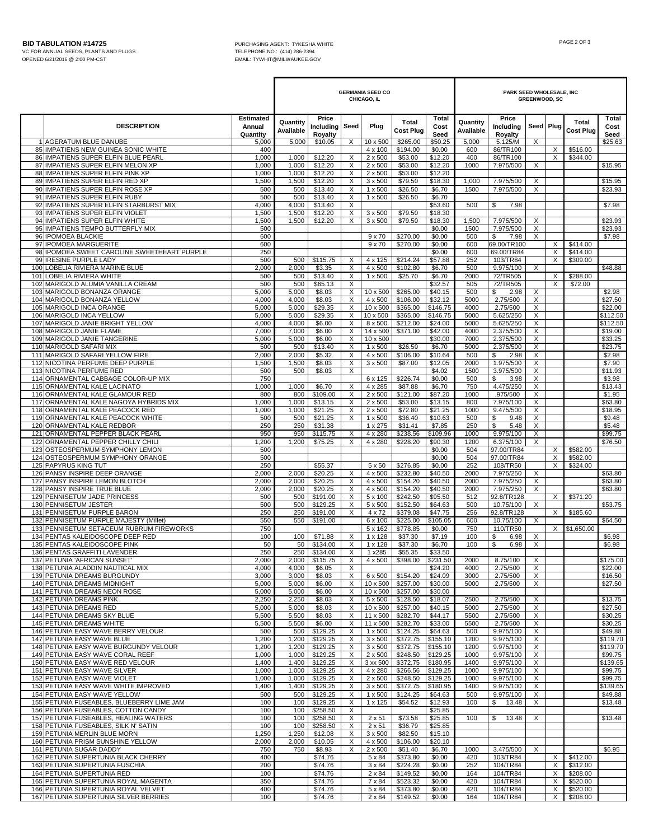I

H

|                                                                              |                                        | <b>GERMANIA SEED CO</b><br>CHICAGO, IL |                               |                              |                                  |                      |                       | PARK SEED WHOLESALE, INC<br><b>GREENWOOD, SC</b> |                               |           |               |                           |                       |
|------------------------------------------------------------------------------|----------------------------------------|----------------------------------------|-------------------------------|------------------------------|----------------------------------|----------------------|-----------------------|--------------------------------------------------|-------------------------------|-----------|---------------|---------------------------|-----------------------|
| <b>DESCRIPTION</b>                                                           | <b>Estimated</b><br>Annual<br>Quantity | Quantity<br>Available                  | Price<br>Including<br>Royalty | Seed                         | Plug                             | Total<br>Cost Plug   | Total<br>Cost<br>Seed | Quantity<br>Available                            | Price<br>Including<br>Royalty | Seed Plug |               | Total<br><b>Cost Plug</b> | Total<br>Cost<br>Seed |
| 1 AGERATUM BLUE DANUBE<br>85 IMPATIENS NEW GUINEA SONIC WHITE                | 5,000<br>400                           | 5,000                                  | \$10.05                       | X                            | 10 x 500<br>4 x 100              | \$265.00<br>\$194.00 | \$50.25<br>\$0.00     | 5,000<br>600                                     | 5.125/M<br>86/TR100           | X         | X             | \$516.00                  | \$25.63               |
| 86 IMPATIENS SUPER ELFIN BLUE PEARL                                          | 1,000                                  | 1,000                                  | \$12.20                       | Х                            | $2 \times 500$                   | \$53.00              | \$12.20               | 400                                              | 86/TR100                      |           | X             | \$344.00                  |                       |
| 87 IMPATIENS SUPER ELFIN MELON XP                                            | 1,000<br>1,000                         | 1,000<br>1,000                         | \$12.20<br>\$12.20            | X<br>X                       | $2 \times 500$<br>2 x 500        | \$53.00              | \$12.20               | 1000                                             | 7.975/500                     | X         |               |                           | \$15.95               |
| 88 IMPATIENS SUPER ELFIN PINK XP<br>89 IMPATIENS SUPER ELFIN RED XP          | 1,500                                  | 1,500                                  | \$12.20                       | X                            | $3 \times 500$                   | \$53.00<br>\$79.50   | \$12.20<br>\$18.30    | 1,000                                            | 7.975/500                     | X         |               |                           | \$15.95               |
| 90 IMPATIENS SUPER ELFIN ROSE XP                                             | 500                                    | 500                                    | \$13.40                       | X                            | 1 x 500                          | \$26.50              | \$6.70                | 1500                                             | 7.975/500                     | X         |               |                           | \$23.93               |
| 91 IMPATIENS SUPER ELFIN RUBY<br>92 IMPATIENS SUPER ELFIN STARBURST MIX      | 500<br>4,000                           | 500<br>4,000                           | \$13.40<br>\$13.40            | X<br>$\overline{\mathsf{x}}$ | 1 x 500                          | \$26.50              | \$6.70<br>\$53.60     | 500                                              | 7.98<br>\$                    |           |               |                           | \$7.98                |
| 93 IMPATIENS SUPER ELFIN VIOLET                                              | 1,500                                  | 1,500                                  | \$12.20                       | X                            | 3 x 500                          | \$79.50              | \$18.30               |                                                  |                               |           |               |                           |                       |
| 94 IMPATIENS SUPER ELFIN WHITE                                               | 1,500                                  | 1,500                                  | \$12.20                       | X                            | 3 x 500                          | \$79.50              | \$18.30               | 1,500                                            | 7.975/500                     | X         |               |                           | \$23.93               |
| 95 IMPATIENS TEMPO BUTTERFLY MIX<br>96 IPOMOEA BLACKIE                       | 500<br>600                             |                                        |                               |                              | $9 \times 70$                    | \$270.00             | \$0.00<br>\$0.00      | 1500<br>500                                      | 7.975/500<br>S.<br>7.98       | X<br>X    |               |                           | \$23.93<br>\$7.98     |
| 97 IPOMOEA MARGUERITE                                                        | 600                                    |                                        |                               |                              | $9 \times 70$                    | \$270.00             | \$0.00                | 600                                              | 69.00/TR100                   |           | X             | \$414.00                  |                       |
| 98 IPOMOEA SWEET CAROLINE SWEETHEART PURPLE<br>99 IRESINE PURPLE LADY        | 250<br>500                             | 500                                    | \$115.75                      | X                            | 4 x 125                          | \$214.24             | \$0.00<br>\$57.88     | 600<br>252                                       | 69.00/TR84<br>103/TR84        |           | Χ<br>Χ        | \$414.00<br>\$309.00      |                       |
| 100 LOBELIA RIVIERA MARINE BLUE                                              | 2,000                                  | 2,000                                  | \$3.35                        | X                            | 4 x 500                          | \$102.80             | \$6.70                | 500                                              | 9.975/100                     | X         |               |                           | \$48.88               |
| LOBELIA RIVIERA WHITE<br>101                                                 | 500                                    | 500                                    | \$13.40                       | X                            | 1 x 500                          | \$25.70              | \$6.70                | 2000                                             | 72/TR505                      |           | X             | \$288.00                  |                       |
| 102<br>MARIGOLD ALUMIA VANILLA CREAM<br>103 MARIGOLD BONANZA ORANGE          | 500<br>5,000                           | 500<br>5,000                           | \$65.13<br>\$8.03             | X<br>X                       | 10 x 500                         | \$265.00             | \$32.57<br>\$40.15    | 505<br>500                                       | 72/TR505<br>\$<br>2.98        | X         | X             | \$72.00                   | \$2.98                |
| 104 MARIGOLD BONANZA YELLOW                                                  | 4,000                                  | 4,000                                  | \$8.03                        | X                            | 4 x 500                          | \$106.00             | \$32.12               | 5000                                             | 2.75/500                      | X         |               |                           | \$27.50               |
| 105<br>MARIGOLD INCA ORANGE<br>106 MARIGOLD INCA YELLOW                      | 5,000<br>5,000                         | 5,000<br>5,000                         | \$29.35<br>\$29.35            | X<br>X                       | 10 x 500<br>10 x 500             | \$365.00<br>\$365.00 | \$146.75<br>\$146.75  | 4000<br>5000                                     | 2.75/500<br>5.625/250         | X<br>X    |               |                           | \$22.00<br>\$112.50   |
| 107 MARIGOLD JANIE BRIGHT YELLOW                                             | 4,000                                  | 4,000                                  | \$6.00                        | X                            | 8 x 500                          | \$212.00             | \$24.00               | 5000                                             | 5.625/250                     | X         |               |                           | \$112.50              |
| 108 MARIGOLD JANIE FLAME                                                     | 7,000                                  | 7,000                                  | \$6.00                        | X                            | 14 x 500                         | \$371.00             | \$42.00               | 4000                                             | 2.375/500                     | X         |               |                           | \$19.00               |
| 109 MARIGOLD JANIE TANGERINE<br>110 MARIGOLD SAFARI MIX                      | 5,000<br>500                           | 5,000<br>500                           | \$6.00<br>\$13.40             | X<br>X                       | 10 x 500<br>$1 \times 500$       | \$26.50              | \$30.00<br>\$6.70     | 7000<br>5000                                     | 2.375/500<br>2.375/500        | X<br>X    |               |                           | \$33.25<br>\$23.75    |
| 111 MARIGOLD SAFARI YELLOW FIRE                                              | 2,000                                  | 2,000                                  | \$5.32                        | X                            | 4 x 500                          | \$106.00             | \$10.64               | 500                                              | \$<br>2.98                    | Χ         |               |                           | \$2.98                |
| 112 NICOTINA PERFUME DEEP PURPLE<br>113 NICOTINA PERFUME RED                 | 1,500                                  | 1,500<br>500                           | \$8.03<br>\$8.03              | X<br>X                       | $3 \times 500$                   | \$87.00              | \$12.05<br>\$4.02     | 2000                                             | 1.975/500                     | X         |               |                           | \$7.90                |
| 114 ORNAMENTAL CABBAGE COLOR-UP MIX                                          | 500<br>750                             |                                        |                               |                              | 6 x 125                          | \$226.74             | \$0.00                | 1500<br>500                                      | 3.975/500<br>\$<br>3.98       | X<br>X    |               |                           | \$11.93<br>\$3.98     |
| 115 ORNAMENTAL KALE LACINATO                                                 | 1,000                                  | 1,000                                  | \$6.70                        | X                            | 4 x 285                          | \$87.88              | \$6.70                | 750                                              | 4.475/250                     | X         |               |                           | \$13.43               |
| 116 ORNAMENTAL KALE GLAMOUR RED<br>117<br>ORNAMENTAL KALE NAGOYA HYBRIDS MIX | 800<br>1,000                           | 800<br>1,000                           | \$109.00<br>\$13.15           | X<br>X                       | $2 \times 500$<br>$2 \times 500$ | \$121.00<br>\$53.00  | \$87.20<br>\$13.15    | 1000<br>800                                      | .975/500<br>7.975/100         | X<br>X    |               |                           | \$1.95<br>\$63.80     |
| 118 ORNAMENTAL KALE PEACOCK RED                                              | 1,000                                  | 1,000                                  | \$21.25                       | X                            | $2 \times 500$                   | \$72.80              | \$21.25               | 1000                                             | 9.475/500                     | X         |               |                           | \$18.95               |
| 119 ORNAMENTAL KALE PEACOCK WHITE                                            | 500                                    | 500                                    | \$21.25                       | X                            | 1 x 500                          | \$36.40              | \$10.63               | 500                                              | \$<br>9.48                    | X         |               |                           | \$9.48                |
| 120 ORNAMENTAL KALE REDBOR<br>ORNAMENTAL PEPPER BLACK PEARL<br>121           | 250<br>950                             | 250<br>950                             | \$31.38<br>\$115.75           | X                            | 1 x 275<br>4 x 280               | \$31.41<br>\$238.56  | \$7.85<br>\$109.96    | 250<br>1000                                      | \$<br>5.48<br>9.975/100       | X<br>X    |               |                           | \$5.48<br>\$99.75     |
| ORNAMENTAL PEPPER CHILLY CHILI<br>122                                        | 1,200                                  | 1,200                                  | \$75.25                       | X                            | 4 x 280                          | \$228.20             | \$90.30               | 1200                                             | 6.375/100                     | X         |               |                           | \$76.50               |
| 123 OSTEOSPERMUM SYMPHONY LEMON<br>124 OSTEOSPERMUM SYMPHONY ORANGE          | 500<br>500                             |                                        |                               |                              |                                  |                      | \$0.00<br>\$0.00      | 504<br>504                                       | 97.00/TR84<br>97.00/TR84      |           | X<br>X        | \$582.00<br>\$582.00      |                       |
| 125 PAPYRUS KING TUT                                                         | 250                                    |                                        | \$55.37                       |                              | $5 \times 50$                    | \$276.85             | \$0.00                | 252                                              | 108/TR50                      |           | Χ             | \$324.00                  |                       |
| 126 PANSY INSPIRE DEEP ORANGE                                                | 2,000                                  | 2,000                                  | \$20.25                       | X                            | 4 x 500                          | \$232.80             | \$40.50               | 2000                                             | 7.975/250                     | X         |               |                           | \$63.80               |
| 127 PANSY INSPIRE LEMON BLOTCH<br>128 PANSY INSPIRE TRUE BLUE                | 2,000<br>2,000                         | 2,000<br>2,000                         | \$20.25<br>\$20.25            | X<br>X                       | 4 x 500<br>4 x 500               | \$154.20<br>\$154.20 | \$40.50<br>\$40.50    | 2000<br>2000                                     | 7.975/250<br>7.975/250        | X<br>X    |               |                           | \$63.80<br>\$63.80    |
| 129 PENNISETUM JADE PRINCESS                                                 | 500                                    | 500                                    | \$191.00                      | X                            | 5 x 100                          | \$242.50             | \$95.50               | 512                                              | 92.8/TR128                    |           | X             | \$371.20                  |                       |
| 130 PENNISETUM JESTER<br>131 PENNISETUM PURPLE BARON                         | 500<br>250                             | 500<br>250                             | \$129.25<br>\$191.00          | X<br>X                       | 5 x 500<br>4 x 72                | \$152.50<br>\$379.08 | \$64.63<br>\$47.75    | 500<br>256                                       | 10.75/100<br>92.8/TR128       | Х         | X             | \$185.60                  | \$53.75               |
| 132 PENNISETUM PURPLE MAJESTY (Millet)                                       | 550                                    | 550                                    | \$191.00                      |                              | 6 x 100                          | \$225.00             | \$105.05              | 600                                              | 10.75/100                     | X         |               |                           | \$64.50               |
| 133 PENNISETUM SETACEUM RUBRUM FIREWORKS                                     | 750                                    |                                        |                               |                              | 5 x 162                          | \$778.85             | \$0.00                | 750                                              | 110/TR50                      |           |               | X \$1,650.00              |                       |
| 134 PENTAS KALEIDOSCOPE DEEP RED<br>135 PENTAS KALEIDOSCOPE PINK             | 100<br>50                              | 100<br>50                              | \$71.88<br>\$134.00           | X<br>X                       | 1 x 128<br>1 x 128               | \$37.30<br>\$37.30   | \$7.19<br>\$6.70      | 100<br>100                                       | \$<br>6.98<br>\$<br>6.98      | Х<br>X    |               |                           | \$6.98<br>\$6.98      |
| 136 PENTAS GRAFFITI LAVENDER                                                 | 250                                    | 250                                    | \$134.00                      | X                            | 1 x285                           | \$55.35              | \$33.50               |                                                  |                               |           |               |                           |                       |
| 137 PETUNIA 'AFRICAN SUNSET'<br>138 PETUNIA ALADDIN NAUTICAL MIX             | 2,000<br>4,000                         | 2,000<br>4,000                         | \$115.75<br>\$6.05            | X<br>Х                       | 4 x 500                          | \$398.00             | \$231.50<br>\$24.20   | 2000<br>4000                                     | 8.75/100<br>2.75/500          | Χ<br>X    |               |                           | \$175.00<br>\$22.00   |
| 139 PETUNIA DREAMS BURGUNDY                                                  | 3,000                                  | 3,000                                  | \$8.03                        | X                            | 6 x 500                          | \$154.20             | \$24.09               | 3000                                             | 2.75/500                      | X         |               |                           | \$16.50               |
| 140 PETUNIA DREAMS MIDNIGHT<br>141 PETUNIA DREAMS NEON ROSE                  | 5,000<br>5,000                         | 5,000<br>5,000                         | \$6.00<br>\$6.00              | X<br>X                       | 10 x 500<br>10 x 500             | \$257.00<br>\$257.00 | \$30.00<br>\$30.00    | 5000                                             | 2.75/500                      | Χ         |               |                           | \$27.50               |
| <b>142 PETUNIA DREAMS PINK</b>                                               | 2,250                                  | 2,250                                  | \$8.03                        | X                            | $5 \times 500$                   | \$128.50             | \$18.07               | 2500                                             | 2.75/500                      | X         |               |                           | \$13.75               |
| 143 PETUNIA DREAMS RED                                                       | 5,000                                  | 5,000                                  | \$8.03                        | X                            | 10 x 500                         | \$257.00             | \$40.15               | 5000                                             | 2.75/500                      | $\times$  |               |                           | \$27.50               |
| 144 PETUNIA DREAMS SKY BLUE<br>145 PETUNIA DREAMS WHITE                      | 5,500<br>5,500                         | 5,500<br>5,500                         | \$8.03<br>\$6.00              | X<br>X                       | 11 x 500<br>11 x 500             | \$282.70<br>\$282.70 | \$44.17<br>\$33.00    | 5500<br>5500                                     | 2.75/500<br>2.75/500          | Х<br>Х    |               |                           | \$30.25<br>\$30.25    |
| 146 PETUNIA EASY WAVE BERRY VELOUR                                           | 500                                    | 500                                    | \$129.25                      | X                            | $1 \times 500$                   | \$124.25             | \$64.63               | 500                                              | 9.975/100                     | Χ         |               |                           | \$49.88               |
| 147 PETUNIA EASY WAVE BLUE<br>148 PETUNIA EASY WAVE BURGUNDY VELOUR          | 1,200<br>1,200                         | 1,200<br>1,200                         | \$129.25<br>\$129.25          | X<br>X                       | 3 x 500<br>$3 \times 500$        | \$372.75<br>\$372.75 | \$155.10<br>\$155.10  | 1200<br>1200                                     | 9.975/100<br>9.975/100        | X<br>Χ    |               |                           | \$119.70<br>\$119.70  |
| 149 PETUNIA EASY WAVE CORAL REEF                                             | 1,000                                  | 1,000                                  | \$129.25                      | X                            | $2 \times 500$                   | \$248.50             | \$129.25              | 1000                                             | 9.975/100                     | Х         |               |                           | \$99.75               |
| 150 PETUNIA EASY WAVE RED VELOUR                                             | 1,400                                  | 1,400                                  | \$129.25                      | X                            | 3 xx 500                         | \$372.75             | \$180.95              | 1400                                             | 9.975/100                     | X         |               |                           | \$139.65              |
| 151 PETUNIA EASY WAVE SILVER<br>152 PETUNIA EASY WAVE VIOLET                 | 1,000<br>1,000                         | 1,000<br>1,000                         | \$129.25<br>\$129.25          | X<br>X                       | 4 x 280<br>$2 \times 500$        | \$266.56<br>\$248.50 | \$129.25<br>\$129.25  | 1000<br>1000                                     | 9.975/100<br>9.975/100        | X<br>X    |               |                           | \$99.75<br>\$99.75    |
| 153 PETUNIA EASY WAVE WHITE IMPROVED                                         | 1,400                                  | 1,400                                  | \$129.25                      | X                            | $3 \times 500$                   | \$372.75             | \$180.95              | 1400                                             | 9.975/100                     | X         |               |                           | \$139.65              |
| 154 PETUNIA EASY WAVE YELLOW<br>155 PETUNIA FUSEABLES, BLUEBERRY LIME JAM    | 500<br>100                             | 500<br>100                             | \$129.25<br>\$129.25          | X<br>X                       | $1 \times 500$<br>1 x 125        | \$124.25<br>\$54.52  | \$64.63<br>\$12.93    | 500<br>100                                       | 9.975/100<br>\$<br>13.48      | X<br>X    |               |                           | \$49.88<br>\$13.48    |
| 156 PETUNIA FUSEABLES, COTTON CANDY                                          | 100                                    | 100                                    | \$258.50                      | X                            |                                  |                      | \$25.85               |                                                  |                               |           |               |                           |                       |
| 157 PETUNIA FUSEABLES, HEALING WATERS                                        | 100                                    | 100                                    | \$258.50                      | X                            | $2 \times 51$                    | \$73.58              | \$25.85               | 100                                              | \$<br>13.48                   | Х         |               |                           | \$13.48               |
| 158 PETUNIA FUSEABLES, SILK N' SATIN<br>159 PETUNIA MERLIN BLUE MORN         | 100<br>1,250                           | 100<br>1,250                           | \$258.50<br>\$12.08           | X<br>X                       | $2 \times 51$<br>$3 \times 500$  | \$36.79<br>\$82.50   | \$25.85<br>\$15.10    |                                                  |                               |           |               |                           |                       |
| 160 PETUNIA PRISM SUNSHINE YELLOW                                            | 2,000                                  | 2,000                                  | \$10.05                       | X                            | 4 x 500                          | \$106.00             | \$20.10               |                                                  |                               |           |               |                           |                       |
| 161 PETUNIA SUGAR DADDY<br>162 PETUNIA SUPERTUNIA BLACK CHERRY               | 750<br>400                             | 750                                    | \$8.93<br>\$74.76             | X                            | $2 \times 500$                   | \$51.40              | \$6.70                | 1000<br>420                                      | 3.475/500<br>103/TR84         | $\times$  |               | \$412.00                  | \$6.95                |
| 163 PETUNIA SUPERTUNIA FUSCHIA                                               | 200                                    |                                        | \$74.76                       |                              | 5 x 84<br>3 x 84                 | \$373.80<br>\$224.28 | \$0.00<br>\$0.00      | 252                                              | 104/TR84                      |           | X<br>$\times$ | \$312.00                  |                       |
| 164 PETUNIA SUPERTUNIA RED                                                   | 100                                    |                                        | \$74.76                       |                              | $2 \times 84$                    | \$149.52             | \$0.00                | 164                                              | 104/TR84                      |           | X             | \$208.00                  |                       |
| 165 PETUNIA SUPERTUNIA ROYAL MAGENTA<br>166 PETUNIA SUPERTUNIA ROYAL VELVET  | 350<br>400                             |                                        | \$74.76<br>\$74.76            |                              | 7 x 84<br>5 x 84                 | \$523.32<br>\$373.80 | \$0.00<br>\$0.00      | 420<br>420                                       | 104/TR84<br>104/TR84          |           | X<br>X        | \$520.00<br>\$520.00      |                       |
| 167 PETUNIA SUPERTUNIA SILVER BERRIES                                        | 100                                    |                                        | \$74.76                       |                              | 2 x 84                           | \$149.52             | \$0.00                | 164                                              | 104/TR84                      |           | X             | \$208.00                  |                       |